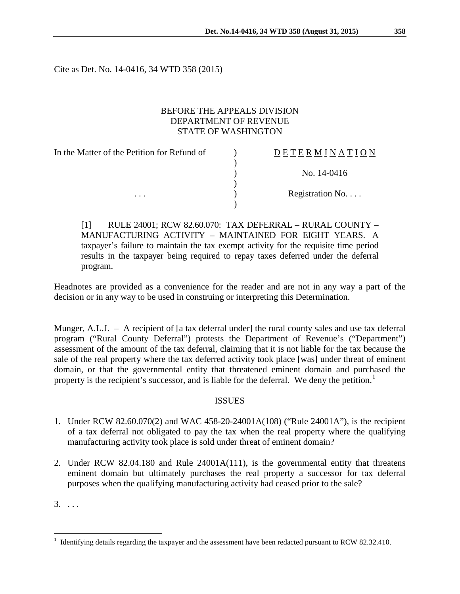Cite as Det. No. 14-0416, 34 WTD 358 (2015)

# BEFORE THE APPEALS DIVISION DEPARTMENT OF REVENUE STATE OF WASHINGTON

In the Matter of the Petition for Refund of  $\qquad)$  $\lambda$ D E T E R M I N A T I O N ) No. 14-0416 ) ... (a) Registration No....  $\lambda$ 

[1] RULE 24001; RCW 82.60.070: TAX DEFERRAL – RURAL COUNTY – MANUFACTURING ACTIVITY – MAINTAINED FOR EIGHT YEARS. A taxpayer's failure to maintain the tax exempt activity for the requisite time period results in the taxpayer being required to repay taxes deferred under the deferral program.

Headnotes are provided as a convenience for the reader and are not in any way a part of the decision or in any way to be used in construing or interpreting this Determination.

Munger, A.L.J. – A recipient of [a tax deferral under] the rural county sales and use tax deferral program ("Rural County Deferral") protests the Department of Revenue's ("Department") assessment of the amount of the tax deferral, claiming that it is not liable for the tax because the sale of the real property where the tax deferred activity took place [was] under threat of eminent domain, or that the governmental entity that threatened eminent domain and purchased the property is the recipient's successor, and is liable for the deferral. We deny the petition.<sup>[1](#page-0-0)</sup>

## ISSUES

- 1. Under RCW 82.60.070(2) and WAC 458-20-24001A(108) ("Rule 24001A"), is the recipient of a tax deferral not obligated to pay the tax when the real property where the qualifying manufacturing activity took place is sold under threat of eminent domain?
- 2. Under RCW 82.04.180 and Rule 24001A(111), is the governmental entity that threatens eminent domain but ultimately purchases the real property a successor for tax deferral purposes when the qualifying manufacturing activity had ceased prior to the sale?

 $3. \ldots$ 

<span id="page-0-0"></span><sup>&</sup>lt;sup>1</sup> Identifying details regarding the taxpayer and the assessment have been redacted pursuant to RCW 82.32.410.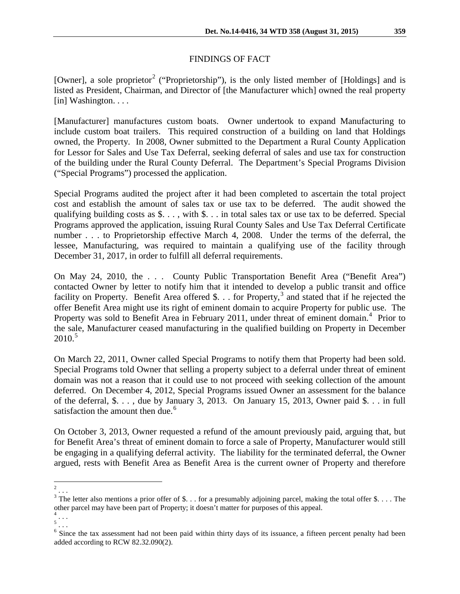# FINDINGS OF FACT

[Owner], a sole proprietor<sup>[2](#page-1-0)</sup> ("Proprietorship"), is the only listed member of [Holdings] and is listed as President, Chairman, and Director of [the Manufacturer which] owned the real property [in] Washington. . . .

[Manufacturer] manufactures custom boats. Owner undertook to expand Manufacturing to include custom boat trailers. This required construction of a building on land that Holdings owned, the Property. In 2008, Owner submitted to the Department a Rural County Application for Lessor for Sales and Use Tax Deferral, seeking deferral of sales and use tax for construction of the building under the Rural County Deferral. The Department's Special Programs Division ("Special Programs") processed the application.

Special Programs audited the project after it had been completed to ascertain the total project cost and establish the amount of sales tax or use tax to be deferred. The audit showed the qualifying building costs as \$. . . , with \$. . . in total sales tax or use tax to be deferred. Special Programs approved the application, issuing Rural County Sales and Use Tax Deferral Certificate number . . . to Proprietorship effective March 4, 2008. Under the terms of the deferral, the lessee, Manufacturing, was required to maintain a qualifying use of the facility through December 31, 2017, in order to fulfill all deferral requirements.

On May 24, 2010, the . . . County Public Transportation Benefit Area ("Benefit Area") contacted Owner by letter to notify him that it intended to develop a public transit and office facility on Property. Benefit Area offered \$. . . for Property,<sup>[3](#page-1-1)</sup> and stated that if he rejected the offer Benefit Area might use its right of eminent domain to acquire Property for public use. The Property was sold to Benefit Area in February 2011, under threat of eminent domain.<sup>[4](#page-1-2)</sup> Prior to the sale, Manufacturer ceased manufacturing in the qualified building on Property in December  $2010.<sup>5</sup>$  $2010.<sup>5</sup>$  $2010.<sup>5</sup>$ 

On March 22, 2011, Owner called Special Programs to notify them that Property had been sold. Special Programs told Owner that selling a property subject to a deferral under threat of eminent domain was not a reason that it could use to not proceed with seeking collection of the amount deferred. On December 4, 2012, Special Programs issued Owner an assessment for the balance of the deferral, \$. . . , due by January 3, 2013. On January 15, 2013, Owner paid \$. . . in full satisfaction the amount then due.<sup>[6](#page-1-4)</sup>

On October 3, 2013, Owner requested a refund of the amount previously paid, arguing that, but for Benefit Area's threat of eminent domain to force a sale of Property, Manufacturer would still be engaging in a qualifying deferral activity. The liability for the terminated deferral, the Owner argued, rests with Benefit Area as Benefit Area is the current owner of Property and therefore

<span id="page-1-0"></span> $2$ ...

<span id="page-1-1"></span> $3$  The letter also mentions a prior offer of \$... for a presumably adjoining parcel, making the total offer \$.... The other parcel may have been part of Property; it doesn't matter for purposes of this appeal.

<span id="page-1-2"></span> $^4$ ...  $\frac{5}{1}$ ...

<span id="page-1-4"></span><span id="page-1-3"></span><sup>&</sup>lt;sup>6</sup> Since the tax assessment had not been paid within thirty days of its issuance, a fifteen percent penalty had been added according to RCW 82.32.090(2).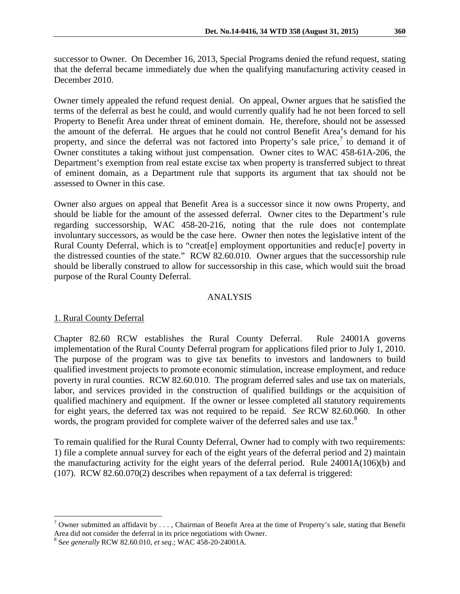successor to Owner. On December 16, 2013, Special Programs denied the refund request, stating that the deferral became immediately due when the qualifying manufacturing activity ceased in December 2010.

Owner timely appealed the refund request denial. On appeal, Owner argues that he satisfied the terms of the deferral as best he could, and would currently qualify had he not been forced to sell Property to Benefit Area under threat of eminent domain. He, therefore, should not be assessed the amount of the deferral. He argues that he could not control Benefit Area's demand for his property, and since the deferral was not factored into Property's sale price, $\prime$  to demand it of Owner constitutes a taking without just compensation. Owner cites to WAC 458-61A-206, the Department's exemption from real estate excise tax when property is transferred subject to threat of eminent domain, as a Department rule that supports its argument that tax should not be assessed to Owner in this case.

Owner also argues on appeal that Benefit Area is a successor since it now owns Property, and should be liable for the amount of the assessed deferral. Owner cites to the Department's rule regarding successorship, WAC 458-20-216, noting that the rule does not contemplate involuntary successors, as would be the case here. Owner then notes the legislative intent of the Rural County Deferral, which is to "creat[e] employment opportunities and reduc[e] poverty in the distressed counties of the state." RCW 82.60.010. Owner argues that the successorship rule should be liberally construed to allow for successorship in this case, which would suit the broad purpose of the Rural County Deferral.

### ANALYSIS

## 1. Rural County Deferral

Chapter 82.60 RCW establishes the Rural County Deferral. Rule 24001A governs implementation of the Rural County Deferral program for applications filed prior to July 1, 2010. The purpose of the program was to give tax benefits to investors and landowners to build qualified investment projects to promote economic stimulation, increase employment, and reduce poverty in rural counties. RCW 82.60.010. The program deferred sales and use tax on materials, labor, and services provided in the construction of qualified buildings or the acquisition of qualified machinery and equipment. If the owner or lessee completed all statutory requirements for eight years, the deferred tax was not required to be repaid. *See* RCW 82.60.060. In other words, the program provided for complete waiver of the deferred sales and use tax.<sup>[8](#page-2-1)</sup>

To remain qualified for the Rural County Deferral, Owner had to comply with two requirements: 1) file a complete annual survey for each of the eight years of the deferral period and 2) maintain the manufacturing activity for the eight years of the deferral period. Rule 24001A(106)(b) and (107). RCW 82.60.070(2) describes when repayment of a tax deferral is triggered:

<span id="page-2-0"></span><sup>&</sup>lt;sup>7</sup> Owner submitted an affidavit by  $\dots$ , Chairman of Benefit Area at the time of Property's sale, stating that Benefit Area did not consider the deferral in its price negotiations with Owner. <sup>8</sup> <sup>S</sup>*ee generally* RCW 82.60.010, *et seq.*; WAC 458-20-24001A.

<span id="page-2-1"></span>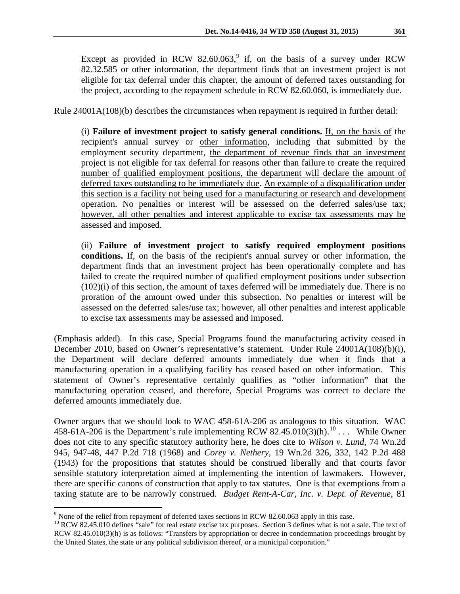Except as provided in RCW 82.60.063,<sup>[9](#page-3-0)</sup> if, on the basis of a survey under RCW 82.32.585 or other information, the department finds that an investment project is not eligible for tax deferral under this chapter, the amount of deferred taxes outstanding for the project, according to the repayment schedule in RCW 82.60.060, is immediately due.

Rule 24001A(108)(b) describes the circumstances when repayment is required in further detail:

(i) **Failure of investment project to satisfy general conditions.** If, on the basis of the recipient's annual survey or other information, including that submitted by the employment security department, the department of revenue finds that an investment project is not eligible for tax deferral for reasons other than failure to create the required number of qualified employment positions, the department will declare the amount of deferred taxes outstanding to be immediately due. An example of a disqualification under this section is a facility not being used for a manufacturing or research and development operation. No penalties or interest will be assessed on the deferred sales/use tax; however, all other penalties and interest applicable to excise tax assessments may be assessed and imposed.

(ii) **Failure of investment project to satisfy required employment positions conditions.** If, on the basis of the recipient's annual survey or other information, the department finds that an investment project has been operationally complete and has failed to create the required number of qualified employment positions under subsection (102)(i) of this section, the amount of taxes deferred will be immediately due. There is no proration of the amount owed under this subsection. No penalties or interest will be assessed on the deferred sales/use tax; however, all other penalties and interest applicable to excise tax assessments may be assessed and imposed.

(Emphasis added). In this case, Special Programs found the manufacturing activity ceased in December 2010, based on Owner's representative's statement. Under Rule 24001A(108)(b)(i), the Department will declare deferred amounts immediately due when it finds that a manufacturing operation in a qualifying facility has ceased based on other information. This statement of Owner's representative certainly qualifies as "other information" that the manufacturing operation ceased, and therefore, Special Programs was correct to declare the deferred amounts immediately due.

Owner argues that we should look to WAC 458-61A-206 as analogous to this situation. WAC 458-61A-206 is the Department's rule implementing RCW 82.45.0[10](#page-3-1)(3)(h).<sup>10</sup> ... While Owner does not cite to any specific statutory authority here, he does cite to *Wilson v. Lund*, 74 Wn.2d 945, 947-48, 447 P.2d 718 (1968) and *Corey v. Nethery*, 19 Wn.2d 326, 332, 142 P.2d 488 (1943) for the propositions that statutes should be construed liberally and that courts favor sensible statutory interpretation aimed at implementing the intention of lawmakers. However, there are specific canons of construction that apply to tax statutes. One is that exemptions from a taxing statute are to be narrowly construed. *Budget Rent-A-Car, Inc. v. Dept. of Revenue,* 81

<span id="page-3-0"></span><sup>&</sup>lt;sup>9</sup> None of the relief from repayment of deferred taxes sections in RCW 82.60.063 apply in this case.

<span id="page-3-1"></span> $10$  RCW 82.45.010 defines "sale" for real estate excise tax purposes. Section 3 defines what is not a sale. The text of RCW 82.45.010(3)(h) is as follows: "Transfers by appropriation or decree in condemnation proceedings brought by the United States, the state or any political subdivision thereof, or a municipal corporation."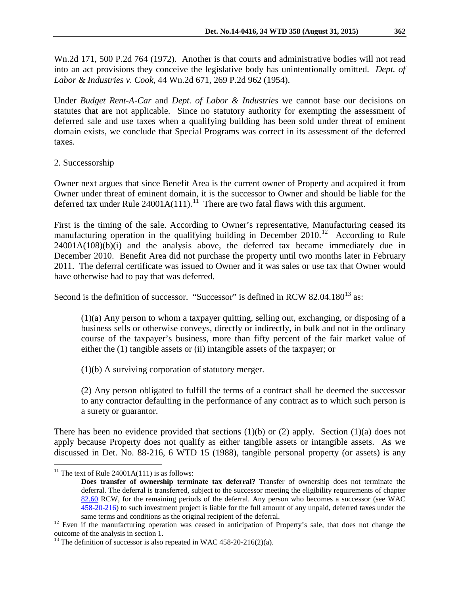Wn.2d 171, 500 P.2d 764 (1972). Another is that courts and administrative bodies will not read into an act provisions they conceive the legislative body has unintentionally omitted. *Dept. of Labor & Industries v. Cook*, 44 Wn.2d 671, 269 P.2d 962 (1954).

Under *Budget Rent-A-Car* and *Dept. of Labor & Industries* we cannot base our decisions on statutes that are not applicable. Since no statutory authority for exempting the assessment of deferred sale and use taxes when a qualifying building has been sold under threat of eminent domain exists, we conclude that Special Programs was correct in its assessment of the deferred taxes.

### 2. Successorship

Owner next argues that since Benefit Area is the current owner of Property and acquired it from Owner under threat of eminent domain, it is the successor to Owner and should be liable for the deferred tax under Rule  $24001A(111)$ .<sup>11</sup> There are two fatal flaws with this argument.

First is the timing of the sale. According to Owner's representative, Manufacturing ceased its manufacturing operation in the qualifying building in December  $2010$ .<sup>12</sup> According to Rule 24001A(108)(b)(i) and the analysis above, the deferred tax became immediately due in December 2010. Benefit Area did not purchase the property until two months later in February 2011. The deferral certificate was issued to Owner and it was sales or use tax that Owner would have otherwise had to pay that was deferred.

Second is the definition of successor. "Successor" is defined in RCW 82.04.180 $^{13}$  $^{13}$  $^{13}$  as:

(1)(a) Any person to whom a taxpayer quitting, selling out, exchanging, or disposing of a business sells or otherwise conveys, directly or indirectly, in bulk and not in the ordinary course of the taxpayer's business, more than fifty percent of the fair market value of either the (1) tangible assets or (ii) intangible assets of the taxpayer; or

(1)(b) A surviving corporation of statutory merger.

(2) Any person obligated to fulfill the terms of a contract shall be deemed the successor to any contractor defaulting in the performance of any contract as to which such person is a surety or guarantor.

There has been no evidence provided that sections  $(1)(b)$  or  $(2)$  apply. Section  $(1)(a)$  does not apply because Property does not qualify as either tangible assets or intangible assets. As we discussed in Det. No. 88-216, 6 WTD 15 (1988), tangible personal property (or assets) is any

<span id="page-4-0"></span><sup>&</sup>lt;sup>11</sup> The text of Rule 24001A(111) is as follows:

**Does transfer of ownership terminate tax deferral?** Transfer of ownership does not terminate the deferral. The deferral is transferred, subject to the successor meeting the eligibility requirements of chapter [82.60](http://app.leg.wa.gov/RCW/default.aspx?cite=82.60) RCW, for the remaining periods of the deferral. Any person who becomes a successor (see WAC [458-20-216\)](http://app.leg.wa.gov/WAC/default.aspx?cite=458-20-216) to such investment project is liable for the full amount of any unpaid, deferred taxes under the

<span id="page-4-1"></span><sup>&</sup>lt;sup>12</sup> Even if the manufacturing operation was ceased in anticipation of Property's sale, that does not change the outcome of the analysis in section 1.

<span id="page-4-2"></span><sup>&</sup>lt;sup>13</sup> The definition of successor is also repeated in WAC 458-20-216(2)(a).